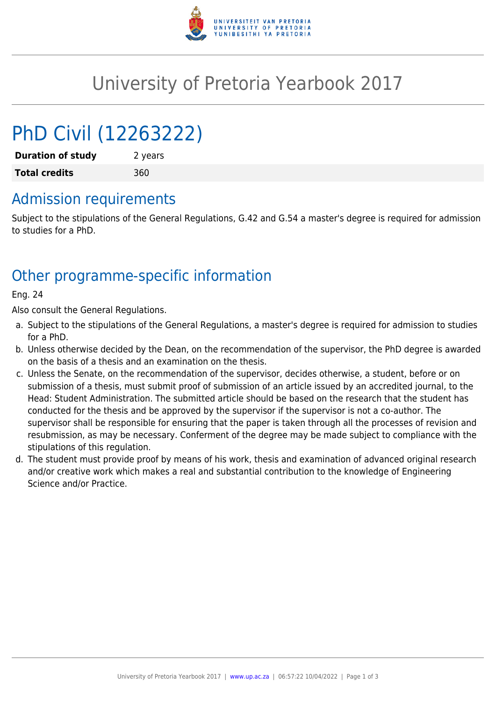

# University of Pretoria Yearbook 2017

# PhD Civil (12263222)

**Duration of study** 2 years **Total credits** 360

## Admission requirements

Subject to the stipulations of the General Regulations, G.42 and G.54 a master's degree is required for admission to studies for a PhD.

## Other programme-specific information

Eng. 24

Also consult the General Regulations.

- a. Subject to the stipulations of the General Regulations, a master's degree is required for admission to studies for a PhD.
- b. Unless otherwise decided by the Dean, on the recommendation of the supervisor, the PhD degree is awarded on the basis of a thesis and an examination on the thesis.
- c. Unless the Senate, on the recommendation of the supervisor, decides otherwise, a student, before or on submission of a thesis, must submit proof of submission of an article issued by an accredited journal, to the Head: Student Administration. The submitted article should be based on the research that the student has conducted for the thesis and be approved by the supervisor if the supervisor is not a co-author. The supervisor shall be responsible for ensuring that the paper is taken through all the processes of revision and resubmission, as may be necessary. Conferment of the degree may be made subject to compliance with the stipulations of this regulation.
- d. The student must provide proof by means of his work, thesis and examination of advanced original research and/or creative work which makes a real and substantial contribution to the knowledge of Engineering Science and/or Practice.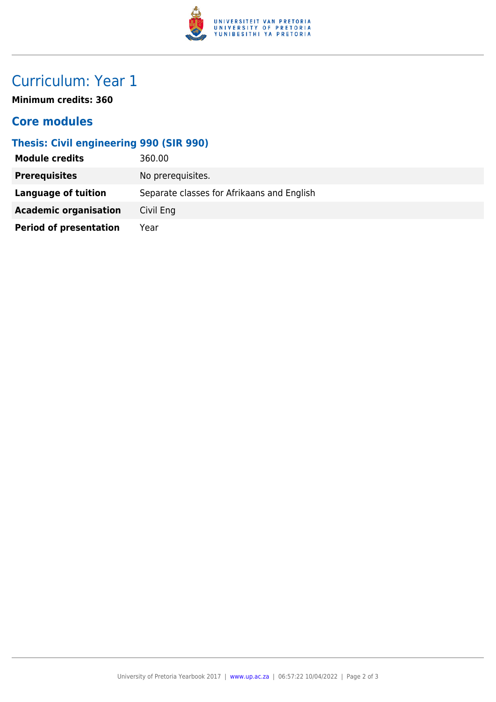

# Curriculum: Year 1

**Minimum credits: 360**

### **Core modules**

#### **Thesis: Civil engineering 990 (SIR 990)**

| <b>Module credits</b>         | 360.00                                     |
|-------------------------------|--------------------------------------------|
| <b>Prerequisites</b>          | No prerequisites.                          |
| <b>Language of tuition</b>    | Separate classes for Afrikaans and English |
| <b>Academic organisation</b>  | Civil Eng                                  |
| <b>Period of presentation</b> | Year                                       |